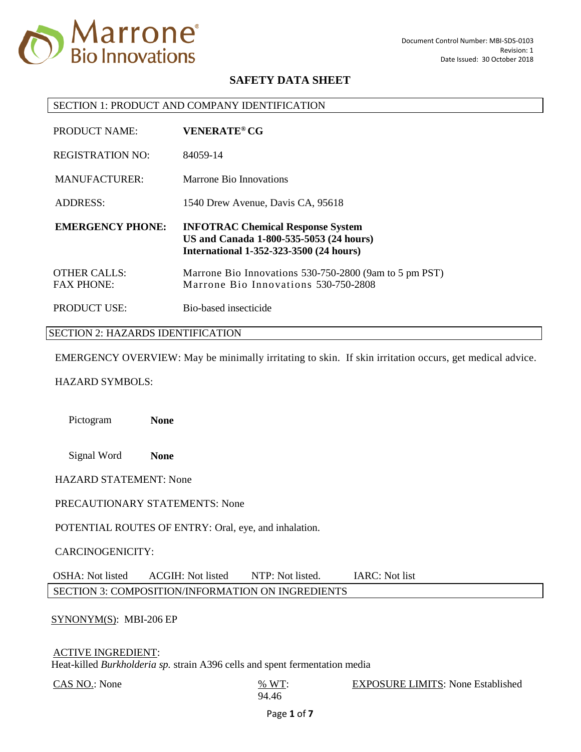

#### SECTION 1: PRODUCT AND COMPANY IDENTIFICATION

| PRODUCT NAME:                            | <b>VENERATE<sup>®</sup> CG</b>                                                                                                        |
|------------------------------------------|---------------------------------------------------------------------------------------------------------------------------------------|
| <b>REGISTRATION NO:</b>                  | 84059-14                                                                                                                              |
| <b>MANUFACTURER:</b>                     | Marrone Bio Innovations                                                                                                               |
| <b>ADDRESS:</b>                          | 1540 Drew Avenue, Davis CA, 95618                                                                                                     |
|                                          |                                                                                                                                       |
| <b>EMERGENCY PHONE:</b>                  | <b>INFOTRAC Chemical Response System</b><br>US and Canada 1-800-535-5053 (24 hours)<br><b>International 1-352-323-3500 (24 hours)</b> |
| <b>OTHER CALLS:</b><br><b>FAX PHONE:</b> | Marrone Bio Innovations 530-750-2800 (9am to 5 pm PST)<br>Marrone Bio Innovations 530-750-2808                                        |

#### SECTION 2: HAZARDS IDENTIFICATION

EMERGENCY OVERVIEW: May be minimally irritating to skin. If skin irritation occurs, get medical advice.

### HAZARD SYMBOLS:

Pictogram **None**

Signal Word **None**

HAZARD STATEMENT: None

#### PRECAUTIONARY STATEMENTS: None

POTENTIAL ROUTES OF ENTRY: Oral, eye, and inhalation.

#### CARCINOGENICITY:

OSHA: Not listed ACGIH: Not listed NTP: Not listed. IARC: Not list SECTION 3: COMPOSITION/INFORMATION ON INGREDIENTS

#### SYNONYM(S): MBI-206 EP

### ACTIVE INGREDIENT:

Heat-killed *Burkholderia sp.* strain A396 cells and spent fermentation media

 $CAS NO.$ : None  $\frac{\% WT}{\% }$ 

94.46 EXPOSURE LIMITS: None Established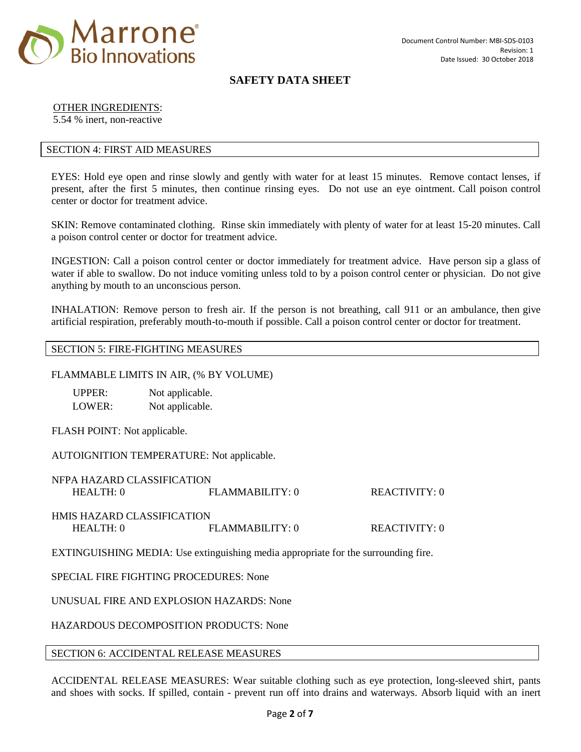

## OTHER INGREDIENTS:

5.54 % inert, non-reactive

## SECTION 4: FIRST AID MEASURES

EYES: Hold eye open and rinse slowly and gently with water for at least 15 minutes. Remove contact lenses, if present, after the first 5 minutes, then continue rinsing eyes. Do not use an eye ointment. Call poison control center or doctor for treatment advice.

SKIN: Remove contaminated clothing. Rinse skin immediately with plenty of water for at least 15-20 minutes. Call a poison control center or doctor for treatment advice.

INGESTION: Call a poison control center or doctor immediately for treatment advice. Have person sip a glass of water if able to swallow. Do not induce vomiting unless told to by a poison control center or physician. Do not give anything by mouth to an unconscious person.

INHALATION: Remove person to fresh air. If the person is not breathing, call 911 or an ambulance, then give artificial respiration, preferably mouth-to-mouth if possible. Call a poison control center or doctor for treatment.

### SECTION 5: FIRE-FIGHTING MEASURES

### FLAMMABLE LIMITS IN AIR, (% BY VOLUME)

| UPPER: | Not applicable. |
|--------|-----------------|
| LOWER: | Not applicable. |

FLASH POINT: Not applicable.

AUTOIGNITION TEMPERATURE: Not applicable.

| NFPA HAZARD CLASSIFICATION        |                    |               |
|-----------------------------------|--------------------|---------------|
| HEAITH:0                          | $FI$ AMMARILITY: 0 | REACTIVITY: 0 |
|                                   |                    |               |
| <b>HMIS HAZARD CLASSIFICATION</b> |                    |               |
| HEAITH:0                          | FI.AMMABILITY: 0   | REACTIVITY: 0 |
|                                   |                    |               |

EXTINGUISHING MEDIA: Use extinguishing media appropriate for the surrounding fire.

## SPECIAL FIRE FIGHTING PROCEDURES: None

UNUSUAL FIRE AND EXPLOSION HAZARDS: None

HAZARDOUS DECOMPOSITION PRODUCTS: None

#### SECTION 6: ACCIDENTAL RELEASE MEASURES

ACCIDENTAL RELEASE MEASURES: Wear suitable clothing such as eye protection, long-sleeved shirt, pants and shoes with socks. If spilled, contain - prevent run off into drains and waterways. Absorb liquid with an inert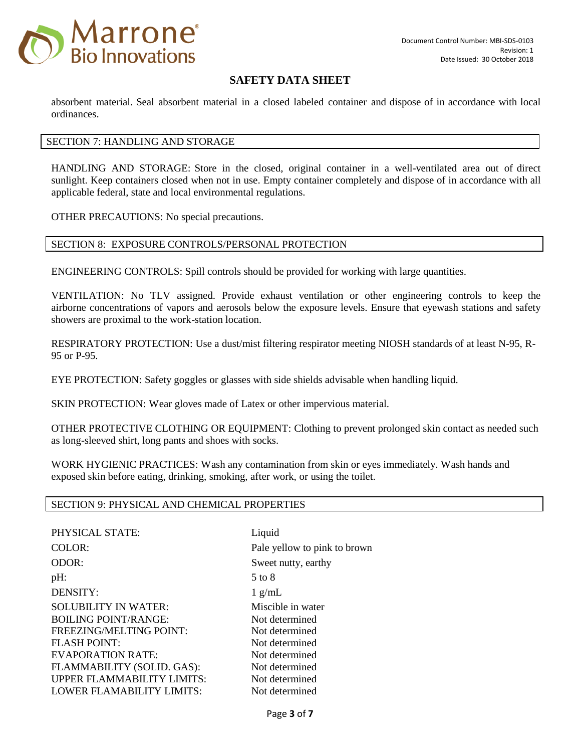

absorbent material. Seal absorbent material in a closed labeled container and dispose of in accordance with local ordinances.

## SECTION 7: HANDLING AND STORAGE

HANDLING AND STORAGE: Store in the closed, original container in a well-ventilated area out of direct sunlight. Keep containers closed when not in use. Empty container completely and dispose of in accordance with all applicable federal, state and local environmental regulations.

OTHER PRECAUTIONS: No special precautions.

### SECTION 8: EXPOSURE CONTROLS/PERSONAL PROTECTION

ENGINEERING CONTROLS: Spill controls should be provided for working with large quantities.

VENTILATION: No TLV assigned. Provide exhaust ventilation or other engineering controls to keep the airborne concentrations of vapors and aerosols below the exposure levels. Ensure that eyewash stations and safety showers are proximal to the work-station location.

RESPIRATORY PROTECTION: Use a dust/mist filtering respirator meeting NIOSH standards of at least N-95, R-95 or P-95.

EYE PROTECTION: Safety goggles or glasses with side shields advisable when handling liquid.

SKIN PROTECTION: Wear gloves made of Latex or other impervious material.

OTHER PROTECTIVE CLOTHING OR EQUIPMENT: Clothing to prevent prolonged skin contact as needed such as long-sleeved shirt, long pants and shoes with socks.

WORK HYGIENIC PRACTICES: Wash any contamination from skin or eyes immediately. Wash hands and exposed skin before eating, drinking, smoking, after work, or using the toilet.

#### SECTION 9: PHYSICAL AND CHEMICAL PROPERTIES

PHYSICAL STATE: Liquid COLOR: Pale yellow to pink to brown ODOR: Sweet nutty, earthy  $pH:$  5 to 8 DENSITY: 1 g/mL SOLUBILITY IN WATER: Miscible in water BOILING POINT/RANGE: Not determined FREEZING/MELTING POINT: Not determined FLASH POINT: Not determined EVAPORATION RATE: Not determined FLAMMABILITY (SOLID. GAS): Not determined UPPER FLAMMABILITY LIMITS: Not determined LOWER FLAMABILITY LIMITS: Not determined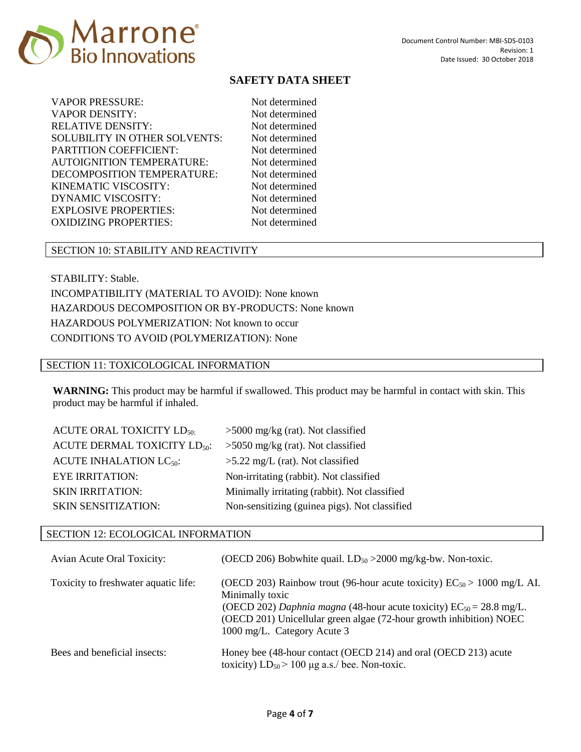

| VAPOR PRESSURE:                      |
|--------------------------------------|
| VAPOR DENSITY:                       |
| RELATIVE DENSITY:                    |
| <b>SOLUBILITY IN OTHER SOLVENTS:</b> |
| <b>PARTITION COEFFICIENT:</b>        |
| AUTOIGNITION TEMPERATURE:            |
| DECOMPOSITION TEMPERATURE:           |
| KINEMATIC VISCOSITY:                 |
| DYNAMIC VISCOSITY:                   |
| <b>EXPLOSIVE PROPERTIES:</b>         |
| <b>OXIDIZING PROPERTIES:</b>         |

Not determined Not determined Not determined Not determined Not determined Not determined Not determined Not determined Not determined Not determined Not determined

## SECTION 10: STABILITY AND REACTIVITY

STABILITY: Stable. INCOMPATIBILITY (MATERIAL TO AVOID): None known HAZARDOUS DECOMPOSITION OR BY-PRODUCTS: None known HAZARDOUS POLYMERIZATION: Not known to occur CONDITIONS TO AVOID (POLYMERIZATION): None

### SECTION 11: TOXICOLOGICAL INFORMATION

**WARNING:** This product may be harmful if swallowed. This product may be harmful in contact with skin. This product may be harmful if inhaled.

| <b>ACUTE ORAL TOXICITY LD<sub>50</sub></b> | $>5000$ mg/kg (rat). Not classified           |
|--------------------------------------------|-----------------------------------------------|
| ACUTE DERMAL TOXICITY LD <sub>50</sub> :   | $>5050$ mg/kg (rat). Not classified           |
| ACUTE INHALATION $LC_{50}$ :               | $>5.22$ mg/L (rat). Not classified            |
| <b>EYE IRRITATION:</b>                     | Non-irritating (rabbit). Not classified       |
| <b>SKIN IRRITATION:</b>                    | Minimally irritating (rabbit). Not classified |
| <b>SKIN SENSITIZATION:</b>                 | Non-sensitizing (guinea pigs). Not classified |

#### SECTION 12: ECOLOGICAL INFORMATION

| <b>Avian Acute Oral Toxicity:</b>    | (OECD 206) Bobwhite quail. $LD_{50} > 2000$ mg/kg-bw. Non-toxic.                                                                                                                                                                                                                 |
|--------------------------------------|----------------------------------------------------------------------------------------------------------------------------------------------------------------------------------------------------------------------------------------------------------------------------------|
| Toxicity to freshwater aquatic life: | (OECD 203) Rainbow trout (96-hour acute toxicity) $EC_{50} > 1000$ mg/L AI.<br>Minimally toxic<br>(OECD 202) Daphnia magna (48-hour acute toxicity) $EC_{50} = 28.8$ mg/L.<br>(OECD 201) Unicellular green algae (72-hour growth inhibition) NOEC<br>1000 mg/L. Category Acute 3 |
| Bees and beneficial insects:         | Honey bee (48-hour contact (OECD 214) and oral (OECD 213) acute<br>toxicity) $LD_{50}$ > 100 µg a.s./ bee. Non-toxic.                                                                                                                                                            |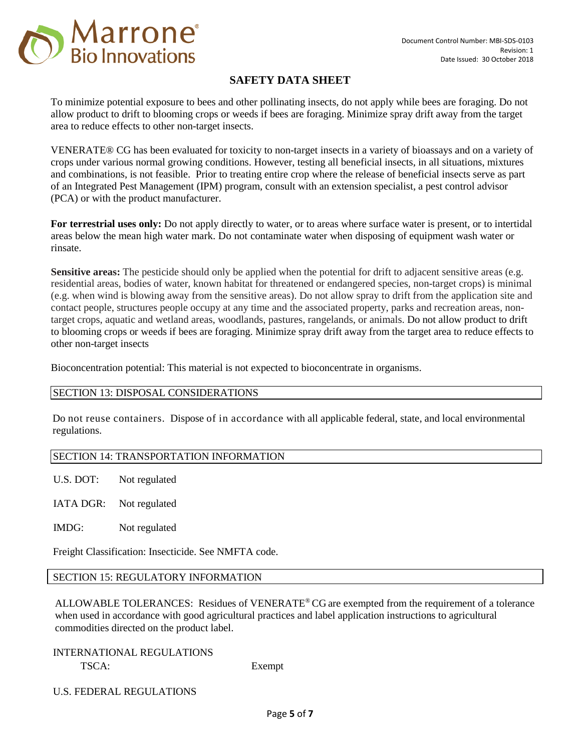

To minimize potential exposure to bees and other pollinating insects, do not apply while bees are foraging. Do not allow product to drift to blooming crops or weeds if bees are foraging. Minimize spray drift away from the target area to reduce effects to other non-target insects.

VENERATE® CG has been evaluated for toxicity to non-target insects in a variety of bioassays and on a variety of crops under various normal growing conditions. However, testing all beneficial insects, in all situations, mixtures and combinations, is not feasible. Prior to treating entire crop where the release of beneficial insects serve as part of an Integrated Pest Management (IPM) program, consult with an extension specialist, a pest control advisor (PCA) or with the product manufacturer.

**For terrestrial uses only:** Do not apply directly to water, or to areas where surface water is present, or to intertidal areas below the mean high water mark. Do not contaminate water when disposing of equipment wash water or rinsate.

**Sensitive areas:** The pesticide should only be applied when the potential for drift to adjacent sensitive areas (e.g. residential areas, bodies of water, known habitat for threatened or endangered species, non-target crops) is minimal (e.g. when wind is blowing away from the sensitive areas). Do not allow spray to drift from the application site and contact people, structures people occupy at any time and the associated property, parks and recreation areas, nontarget crops, aquatic and wetland areas, woodlands, pastures, rangelands, or animals. Do not allow product to drift to blooming crops or weeds if bees are foraging. Minimize spray drift away from the target area to reduce effects to other non-target insects

Bioconcentration potential: This material is not expected to bioconcentrate in organisms.

## SECTION 13: DISPOSAL CONSIDERATIONS

Do not reuse containers. Dispose of in accordance with all applicable federal, state, and local environmental regulations.

## SECTION 14: TRANSPORTATION INFORMATION

U.S. DOT: Not regulated

IATA DGR: Not regulated

IMDG: Not regulated

Freight Classification: Insecticide. See NMFTA code.

## SECTION 15: REGULATORY INFORMATION

ALLOWABLE TOLERANCES: Residues of VENERATE® CG are exempted from the requirement of a tolerance when used in accordance with good agricultural practices and label application instructions to agricultural commodities directed on the product label.

INTERNATIONAL REGULATIONS TSCA: Exempt

U.S. FEDERAL REGULATIONS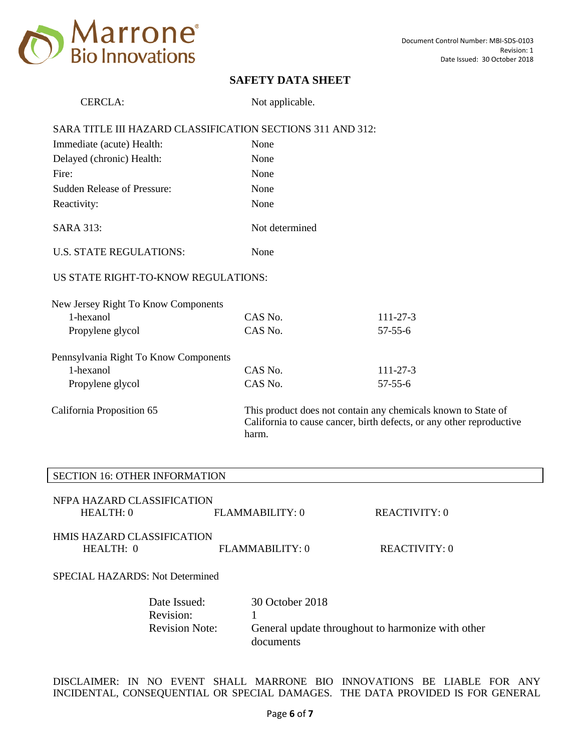

| <b>CERCLA:</b>                                             | Not applicable. |                                                                                                                                       |
|------------------------------------------------------------|-----------------|---------------------------------------------------------------------------------------------------------------------------------------|
| SARA TITLE III HAZARD CLASSIFICATION SECTIONS 311 AND 312: |                 |                                                                                                                                       |
| Immediate (acute) Health:                                  | None            |                                                                                                                                       |
| Delayed (chronic) Health:                                  | None            |                                                                                                                                       |
| Fire:                                                      | None            |                                                                                                                                       |
| <b>Sudden Release of Pressure:</b>                         | None            |                                                                                                                                       |
| Reactivity:                                                | None            |                                                                                                                                       |
| <b>SARA 313:</b>                                           | Not determined  |                                                                                                                                       |
| <b>U.S. STATE REGULATIONS:</b>                             | None            |                                                                                                                                       |
| US STATE RIGHT-TO-KNOW REGULATIONS:                        |                 |                                                                                                                                       |
| New Jersey Right To Know Components                        |                 |                                                                                                                                       |
| 1-hexanol                                                  | CAS No.         | $111 - 27 - 3$                                                                                                                        |
| Propylene glycol                                           | CAS No.         | $57 - 55 - 6$                                                                                                                         |
| Pennsylvania Right To Know Components                      |                 |                                                                                                                                       |
| 1-hexanol                                                  | CAS No.         | $111 - 27 - 3$                                                                                                                        |
| Propylene glycol                                           | CAS No.         | $57 - 55 - 6$                                                                                                                         |
| California Proposition 65                                  | harm.           | This product does not contain any chemicals known to State of<br>California to cause cancer, birth defects, or any other reproductive |

## SECTION 16: OTHER INFORMATION

| NFPA HAZARD CLASSIFICATION |                  |               |
|----------------------------|------------------|---------------|
| HEAITH:0                   | FI.AMMABILITY: 0 | REACTIVITY: 0 |
|                            |                  |               |
| HMIS HAZARD CLASSIFICATION |                  |               |
| HEAITH: 0                  | FLAMMARILITY: 0  | REACTIVITY: 0 |
|                            |                  |               |

SPECIAL HAZARDS: Not Determined

| Date Issued:          | 30 October 2018                                   |
|-----------------------|---------------------------------------------------|
| Revision:             |                                                   |
| <b>Revision Note:</b> | General update throughout to harmonize with other |
|                       | documents                                         |

DISCLAIMER: IN NO EVENT SHALL MARRONE BIO INNOVATIONS BE LIABLE FOR ANY INCIDENTAL, CONSEQUENTIAL OR SPECIAL DAMAGES. THE DATA PROVIDED IS FOR GENERAL